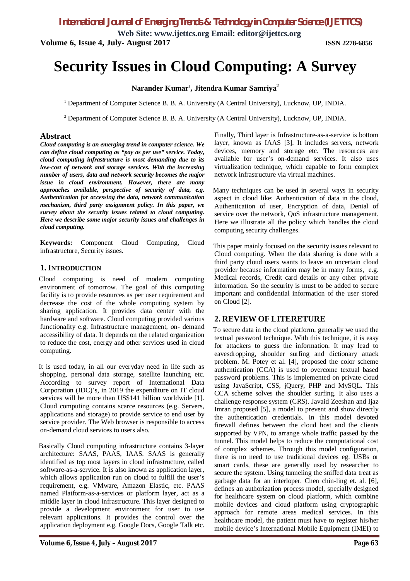**Web Site: www.ijettcs.org Email: editor@ijettcs.org Volume 6, Issue 4, July- August 2017 ISSN 2278-6856**

# **Security Issues in Cloud Computing: A Survey**

## **Narander Kumar**<sup>1</sup> **, Jitendra Kumar Samriya<sup>2</sup>**

<sup>1</sup> Department of Computer Science B. B. A. University (A Central University), Lucknow, UP, INDIA.

<sup>2</sup> Department of Computer Science B. B. A. University (A Central University), Lucknow, UP, INDIA.

#### **Abstract**

*Cloud computing is an emerging trend in computer science. We can define cloud computing as "pay as per use" service. Today, cloud computing infrastructure is most demanding due to its low-cost of network and storage services. With the increasing number of users, data and network security becomes the major issue in cloud environment. However, there are many approaches available, perspective of security of data, e.g. Authentication for accessing the data, network communication mechanism, third party assignment policy. In this paper, we survey about the security issues related to cloud computing. Here we describe some major security issues and challenges in cloud computing.*

**Keywords:** Component Cloud Computing, Cloud infrastructure, Security issues.

#### **1. INTRODUCTION**

Cloud computing is need of modern computing environment of tomorrow. The goal of this computing facility is to provide resources as per user requirement and decrease the cost of the whole computing system by sharing application. It provides data center with the hardware and software. Cloud computing provided various functionality e.g. Infrastructure management, on- demand accessibility of data. It depends on the related organization to reduce the cost, energy and other services used in cloud computing.

It is used today, in all our everyday need in life such as shopping, personal data storage, satellite launching etc. According to survey report of International Data Corporation (IDC)'s, in 2019 the expenditure on IT cloud services will be more than US\$141 billion worldwide [1]. Cloud computing contains scarce resources (e.g. Servers, applications and storage) to provide service to end user by service provider. The Web browser is responsible to access on-demand cloud services to users also.

Basically Cloud computing infrastructure contains 3-layer architecture: SAAS, PAAS, IAAS. SAAS is generally identified as top most layers in cloud infrastructure, called software-as-a-service. It is also known as application layer, which allows application run on cloud to fulfill the user's requirement, e.g. VMware, Amazon Elastic, etc. PAAS named Platform-as-a-services or platform layer, act as a middle layer in cloud infrastructure. This layer designed to provide a development environment for user to use relevant applications. It provides the control over the application deployment e.g. Google Docs, Google Talk etc.

Finally, Third layer is Infrastructure-as-a-service is bottom layer, known as IAAS [3]. It includes servers, network devices, memory and storage etc. The resources are available for user's on-demand services. It also uses virtualization technique, which capable to form complex network infrastructure via virtual machines.

Many techniques can be used in several ways in security aspect in cloud like: Authentication of data in the cloud, Authentication of user, Encryption of data, Denial of service over the network, QoS infrastructure management. Here we illustrate all the policy which handles the cloud computing security challenges.

This paper mainly focused on the security issues relevant to Cloud computing. When the data sharing is done with a third party cloud users wants to leave an uncertain cloud provider because information may be in many forms, e.g. Medical records, Credit card details or any other private information. So the security is must to be added to secure important and confidential information of the user stored on Cloud [2].

# **2. REVIEW OF LITERETURE**

To secure data in the cloud platform, generally we used the textual password technique. With this technique, it is easy for attackers to guess the information. It may lead to eavesdropping, shoulder surfing and dictionary attack problem. M. Potey et al. [4], proposed the color scheme authentication (CCA) is used to overcome textual based password problems. This is implemented on private cloud using JavaScript, CSS, jQuery, PHP and MySQL. This CCA scheme solves the shoulder surfing. It also uses a challenge response system (CRS). Javaid Zeeshan and Ijaz Imran proposed [5], a model to prevent and show directly the authentication credentials. In this model devoted firewall defines between the cloud host and the clients supported by VPN, to arrange whole traffic passed by the tunnel. This model helps to reduce the computational cost of complex schemes. Through this model configuration, there is no need to use traditional devices eg. USBs or smart cards, these are generally used by researcher to secure the system. Using tunneling the sniffed data treat as garbage data for an interloper. Chen chin-ling et. al. [6], defines an authorization process model, specially designed for healthcare system on cloud platform, which combine mobile devices and cloud platform using cryptographic approach for remote areas medical services. In this healthcare model, the patient must have to register his/her mobile device's International Mobile Equipment (IMEI) to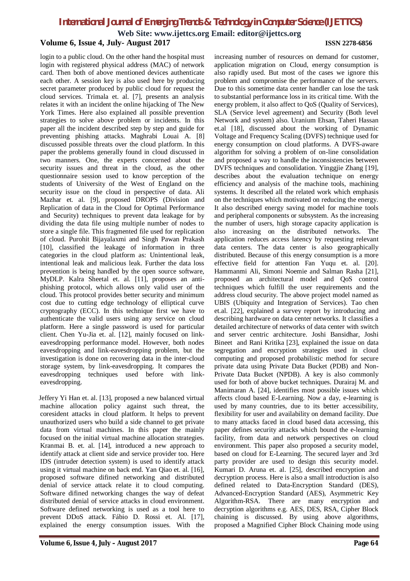# *International Journal of Emerging Trends & Technology in Computer Science (IJETTCS)*

**Web Site: www.ijettcs.org Email: editor@ijettcs.org**

### **Volume 6, Issue 4, July- August 2017 ISSN 2278-6856**

login to a public cloud. On the other hand the hospital must login with registered physical address (MAC) of network card. Then both of above mentioned devices authenticate each other. A session key is also used here by producing secret parameter produced by public cloud for request the cloud services. Trimala et. al. [7], presents an analysis relates it with an incident the online hijacking of The New York Times. Here also explained all possible prevention strategies to solve above problem or incidents. In this paper all the incident described step by step and guide for preventing phishing attacks. Maghrabi Louai A. [8] discussed possible threats over the cloud platform. In this paper the problems generally found in cloud discussed in two manners. One, the experts concerned about the security issues and threat in the cloud, as the other questionnaire session used to know perception of the students of University of the West of England on the security issue on the cloud in perspective of data. Ali Mazhar et. al. [9], proposed DROPS (Division and Replication of data in the Cloud for Optimal Performance and Security) techniques to prevent data leakage for by dividing the data file using multiple number of nodes to store a single file. This fragmented file used for replication of cloud. Purohit Bijayalaxmi and Singh Pawan Prakash [10], classified the leakage of information in three categories in the cloud platform as: Unintentional leak, intentional leak and malicious leak. Further the data loss prevention is being handled by the open source software, MyDLP. Kalra Sheetal et. al. [11], proposes an antiphishing protocol, which allows only valid user of the cloud. This protocol provides better security and minimum cost due to cutting edge technology of elliptical curve cryptography (ECC). In this technique first we have to authenticate the valid users using any service on cloud platform. Here a single password is used for particular client. Chen Yu-Jia et. al. [12], mainly focused on linkeavesdropping performance model. However, both nodes eavesdropping and link-eavesdropping problem, but the investigation is done on recovering data in the inter-cloud storage system, by link-eavesdropping. It compares the eavesdropping techniques used before with linkeavesdropping.

Jeffery Yi Han et. al. [13], proposed a new balanced virtual machine allocation policy against such threat, the coresident attacks in cloud platform. It helps to prevent unauthorized users who build a side channel to get private data from virtual machines. In this paper the mainly focused on the initial virtual machine allocation strategies. Kranmai B. et. al. [14], introduced a new approach to identify attack at client side and service provider too. Here IDS (intruder detection system) is used to identify attack using it virtual machine on back end. Yan Qiao et. al. [16], proposed software difined networking and distributed denial of service attack relate it to cloud computing. Software difined networking changes the way of defeat distributed denial of service attacks in cloud environment. Software defined networking is used as a tool here to prevent DDoS attack. Fábio D. Rossi et. Al. [17], explained the energy consumption issues. With the

increasing number of resources on demand for customer, application migration on Cloud, energy consumption is also rapidly used. But most of the cases we ignore this problem and compromise the performance of the servers. Due to this sometime data center handler can lose the task to substantial performance loss in its critical time. With the energy problem, it also affect to QoS (Quality of Services), SLA (Service level agreement) and Security (Both level Network and system) also. Uranium Ehsan, Taheri Hassan et.al [18], discussed about the working of Dynamic Voltage and Frequency Scaling (DVFS) technique used for energy consumption on cloud platforms. A DVFS-aware algorithm for solving a problem of on-line consolidation and proposed a way to handle the inconsistencies between DVFS techniques and consolidation. Yinggjie Zhang [19], describes about the evaluation technique on energy efficiency and analysis of the machine tools, machining systems. It described all the related work which emphasis on the techniques which motivated on reducing the energy. It also described energy saving model for machine tools and peripheral components or subsystem. As the increasing the number of users, high storage capacity application is also increasing on the distributed networks. The application reduces access latency by requesting relevant data centers. The data center is also geographically distributed. Because of this energy consumption is a more effective field for attention Fan Yuqu et. al. [20]. Hammanmi Ali, Simoni Noemie and Salman Rasha [21], proposed an architectural model and QoS control techniques which fulfill the user requirements and the address cloud security. The above project model named as UBIS (Ubiquity and Integration of Services). Tao chen et.al. [22], explained a survey report by introducing and describing hardware on data center networks. It classifies a detailed architecture of networks of data center with switch and server centric architecture. Joshi Bansidhar, Joshi Bineet and Rani Kritika [23], explained the issue on data segregation and encryption strategies used in cloud computing and proposed probabilistic method for secure private data using Private Data Bucket (PDB) and Non-Private Data Bucket (NPDB). A key is also commonly used for both of above bucket techniques. Durairaj M. and Manimaran A. [24], identifies most possible issues which affects cloud based E-Learning. Now a day, e-learning is used by many countries, due to its better accessibility, flexibility for user and availability on demand facility. Due to many attacks faced in cloud based data accessing, this paper defines security attacks which bound the e-learning facility, from data and network perspectives on cloud environment. This paper also proposed a security model, based on cloud for E-Learning. The secured layer and 3rd party provider are used to design this security model. Kumari D. Aruna et. al. [25], described encryption and decryption process. Here is also a small introduction is also defined related to Data-Encryption Standard (DES), Advanced-Encryption Standard (AES), Asymmetric Key Algorithm-RSA. There are many encryption and decryption algorithms e.g. AES, DES, RSA, Cipher Block chaining is discussed. By using above algorithms, proposed a Magnified Cipher Block Chaining mode using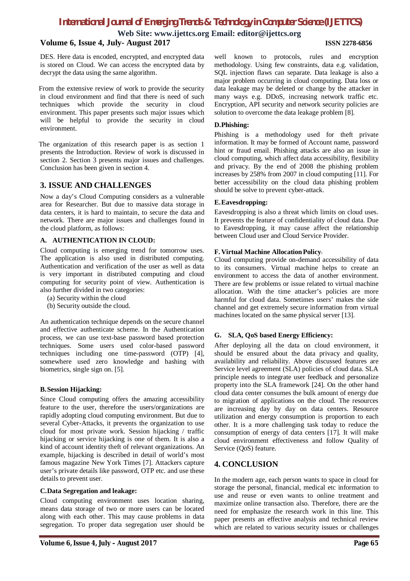**Web Site: www.ijettcs.org Email: editor@ijettcs.org**

# **Volume 6, Issue 4, July- August 2017 ISSN 2278-6856**

DES. Here data is encoded, encrypted, and encrypted data is stored on Cloud. We can access the encrypted data by decrypt the data using the same algorithm.

From the extensive review of work to provide the security in cloud environment and find that there is need of such techniques which provide the security in cloud environment. This paper presents such major issues which will be helpful to provide the security in cloud environment.

The organization of this research paper is as section 1 presents the Introduction. Review of work is discussed in section 2. Section 3 presents major issues and challenges. Conclusion has been given in section 4.

### **3. ISSUE AND CHALLENGES**

Now a day's Cloud Computing considers as a vulnerable area for Researcher. But due to massive data storage in data centers, it is hard to maintain, to secure the data and network. There are major issues and challenges found in the cloud platform, as follows:

#### **A. AUTHENTICATION IN CLOUD:**

Cloud computing is emerging trend for tomorrow uses. The application is also used in distributed computing. Authentication and verification of the user as well as data is very important in distributed computing and cloud computing for security point of view. Authentication is also further divided in two categories:

(a) Security within the cloud

(b) Security outside the cloud.

An authentication technique depends on the secure channel and effective authenticate scheme. In the Authentication process, we can use text-base password based protection techniques. Some users used color-based password techniques including one time-password (OTP) [4], somewhere used zero knowledge and hashing with biometrics, single sign on. [5].

#### **B.Session Hijacking:**

Since Cloud computing offers the amazing accessibility feature to the user, therefore the users/organizations are rapidly adopting cloud computing environment. But due to several Cyber-Attacks, it prevents the organization to use cloud for most private work. Session hijacking / traffic hijacking or service hijacking is one of them. It is also a kind of account identity theft of relevant organizations. An example, hijacking is described in detail of world's most famous magazine New York Times [7]. Attackers capture user's private details like password, OTP etc. and use these details to prevent user.

#### **C.Data Segregation and leakage:**

Cloud computing environment uses location sharing, means data storage of two or more users can be located along with each other. This may cause problems in data segregation. To proper data segregation user should be well known to protocols, rules and encryption methodology. Using few constraints, data e.g. validation, SQL injection flaws can separate. Data leakage is also a major problem occurring in cloud computing. Data loss or data leakage may be deleted or change by the attacker in many ways e.g. DDoS, increasing network traffic etc. Encryption, API security and network security policies are solution to overcome the data leakage problem [8].

#### **D.Phishing:**

Phishing is a methodology used for theft private information. It may be formed of Account name, password hint or fraud email. Phishing attacks are also an issue in cloud computing, which affect data accessibility, flexibility and privacy. By the end of 2008 the phishing problem increases by 258% from 2007 in cloud computing [11]. For better accessibility on the cloud data phishing problem should be solve to prevent cyber-attack.

#### **E.Eavesdropping:**

Eavesdropping is also a threat which limits on cloud uses. It prevents the feature of confidentiality of cloud data. Due to Eavesdropping, it may cause affect the relationship between Cloud user and Cloud Service Provider.

#### **F. Virtual Machine AllocationPolicy:**

Cloud computing provide on-demand accessibility of data to its consumers. Virtual machine helps to create an environment to access the data of another environment. There are few problems or issue related to virtual machine allocation. With the time attacker's policies are more harmful for cloud data. Sometimes users' makes the side channel and get extremely secure information from virtual machines located on the same physical server [13].

#### **G. SLA, QoS based Energy Efficiency:**

After deploying all the data on cloud environment, it should be ensured about the data privacy and quality, availability and reliability. Above discussed features are Service level agreement (SLA) policies of cloud data. SLA principle needs to integrate user feedback and personalize property into the SLA framework [24]. On the other hand cloud data center consumes the bulk amount of energy due to migration of applications on the cloud. The resources are increasing day by day on data centers. Resource utilization and energy consumption is proportion to each other. It is a more challenging task today to reduce the consumption of energy of data centers [17]. It will make cloud environment effectiveness and follow Quality of Service (QoS) feature.

# **4. CONCLUSION**

In the modern age, each person wants to space in cloud for storage the personal, financial, medical etc information to use and reuse or even wants to online treatment and maximize online transaction also. Therefore, there are the need for emphasize the research work in this line. This paper presents an effective analysis and technical review which are related to various security issues or challenges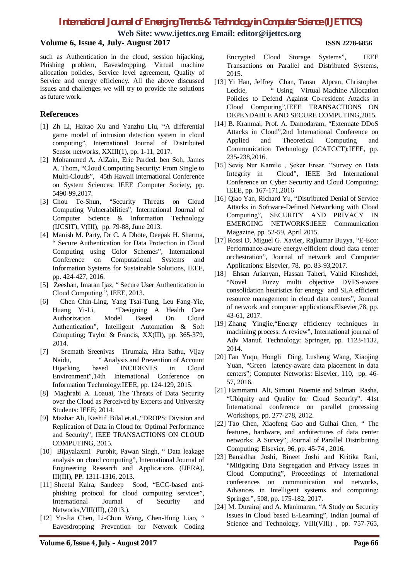# *International Journal of Emerging Trends & Technology in Computer Science (IJETTCS)*

**Web Site: www.ijettcs.org Email: editor@ijettcs.org**

# **Volume 6, Issue 4, July- August 2017 ISSN 2278-6856**

such as Authentication in the cloud, session hijacking, Phishing problem, Eavesdropping, Virtual machine allocation policies, Service level agreement, Quality of Service and energy efficiency. All the above discussed issues and challenges we will try to provide the solutions as future work.

### **References**

- [1] Zh Li, Haitao Xu and Yanzhu Liu, "A differential game model of intrusion detection system in cloud computing", International Journal of Distributed Sensor networks, XXIII(1), pp. 1-11, 2017.
- [2] Mohammed A. AlZain, Eric Parded, ben Soh, James A. Thom, "Cloud Computing Security: From Single to Multi-Clouds", 45th Hawaii International Conference on System Sciences: IEEE Computer Society, pp. 5490-99,2017.
- [3] Chou Te-Shun, "Security Threats on Cloud Computing Vulnerabilities", International Journal of Computer Science & Information Technology (IJCSIT), V(III), pp. 79-88, June 2013.
- [4] Manish M. Party, Dr C. A Dhote, Deepak H. Sharma, " Secure Authentication for Data Protection in Cloud Computing using Color Schemes", International Conference on Computational Systems and Information Systems for Sustainable Solutions, IEEE, pp. 424-427, 2016.
- [5] Zeeshan, Imaran Ijaz, " Secure User Authentication in Cloud Computing.", IEEE, 2013.
- [6] Chen Chin-Ling, Yang Tsai-Tung, Leu Fang-Yie, Huang Yi-Li, "Designing A Health Care Authorization Model Based On Cloud Authentication", Intelligent Automation & Soft Computing; Taylor & Francis, XX(III), pp. 365-379, 2014.
- [7] Sremath Sreenivas Tirumala, Hira Sathu, Vijay Naidu, " Analysis and Prevention of Account Hijacking based INCIDENTS in Cloud Environment",14th International Conference on Information Technology:IEEE, pp. 124-129, 2015.
- [8] Maghrabi A. Loauai, The Threats of Data Security over the Cloud as Perceived by Experts and University Students: IEEE; 2014.
- [9] Mazhar Ali, Kashif Bilal et.al.,"DROPS: Division and Replication of Data in Cloud for Optimal Performance and Security", IEEE TRANSACTIONS ON CLOUD COMPUTING, 2015.
- [10] Bijayalaxmi Purohit, Pawan Singh, " Data leakage analysis on cloud computing", International Journal of Engineering Research and Applications (IJERA), III(III), PP. 1311-1316, 2013.
- [11] Sheetal Kalra, Sandeep Sood, "ECC-based antiphishing protocol for cloud computing services", International Journal of Security and Networks,VIII(III), (2013.).
- [12] Yu-Jia Chen, Li-Chun Wang, Chen-Hung Liao, " Eavesdropping Prevention for Network Coding
- [13] Yi Han, Jeffrey Chan, Tansu Alpcan, Christopher Leckie, " Using Virtual Machine Allocation Policies to Defend Against Co-resident Attacks in Cloud Computing",IEEE TRANSACTIONS ON DEPENDABLE AND SECURE COMPUTING,2015.
- [14] B. Kranmai, Prof. A. Damodaram, "Extenuate DDoS Attacks in Cloud",2nd International Conference on Applied and Theoretical Computing and Communication Technology (ICATCCT):IEEE, pp. 235-238,2016.
- [15] Seviş Nur Kamile , Şeker Ensar. "Survey on Data Integrity in Cloud", IEEE 3rd International Conference on Cyber Security and Cloud Computing: IEEE, pp. 167-171,2016
- [16] Qiao Yan, Richard Yu, "Distributed Denial of Service Attacks in Software-Defined Networking with Cloud Computing", SECURITY AND PRIVACY IN EMERGING NETWORKS:IEEE Communication Magazine, pp. 52-59, April 2015.
- [17] Rossi D, Miguel G. Xavier, Rajkumar Buyya, "E-Eco: Performance-aware energy-efficient cloud data center orchestration", Journal of network and Computer Applications: Elsevier, 78, pp. 83-93,2017.
- [18] Ehsan Arianyan, Hassan Taheri, Vahid Khoshdel, "Novel Fuzzy multi objective DVFS-aware consolidation heuristics for energy and SLA efficient resource management in cloud data centers", Journal of network and computer applications:Elsevier,78, pp. 43-61, 2017.
- [19] Zhang Yingjie,"Energy efficiency techniques in machining process: A review", International journal of Adv Manuf. Technology: Springer, pp. 1123-1132, 2014.
- [20] Fan Yuqu, Hongli Ding, Lusheng Wang, Xiaojing Yuan, "Green latency-aware data placement in data centers"; Computer Networks: Elsevier, 110, pp. 46- 57, 2016.
- [21] Hammami Ali, Simoni Noemie and Salman Rasha, "Ubiquity and Quality for Cloud Security", 41st International conference on parallel processing Workshops, pp. 277-278, 2012.
- [22] Tao Chen, Xiaofeng Gao and Guihai Chen, " The features, hardware, and architectures of data center networks: A Survey", Journal of Parallel Distributing Computing: Elsevier, 96, pp. 45-74 , 2016.
- [23] Bansidhar Joshi, Bineet Joshi and Kritika Rani, "Mitigating Data Segregation and Privacy Issues in Cloud Computing", Proceedings of International conferences on communication and networks, Advances in Intelligent systems and computing: Springer", 508, pp. 175-182, 2017.
- [24] M. Durairaj and A. Manimaran, "A Study on Security issues in Cloud based E-Learning", Indian journal of Science and Technology, VIII(VIII), pp. 757-765,